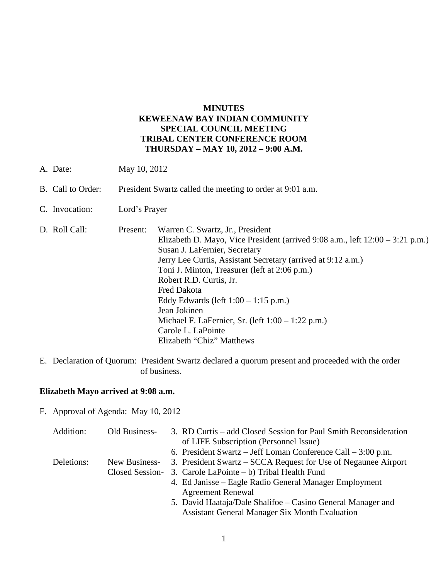### **MINUTES KEWEENAW BAY INDIAN COMMUNITY SPECIAL COUNCIL MEETING TRIBAL CENTER CONFERENCE ROOM THURSDAY – MAY 10, 2012 – 9:00 A.M.**

- A. Date: May 10, 2012
- B. Call to Order: President Swartz called the meeting to order at 9:01 a.m.
- C. Invocation: Lord's Prayer

| D. Roll Call: | Present: | Warren C. Swartz, Jr., President                                                  |
|---------------|----------|-----------------------------------------------------------------------------------|
|               |          | Elizabeth D. Mayo, Vice President (arrived $9:08$ a.m., left $12:00 - 3:21$ p.m.) |
|               |          | Susan J. LaFernier, Secretary                                                     |
|               |          | Jerry Lee Curtis, Assistant Secretary (arrived at 9:12 a.m.)                      |
|               |          | Toni J. Minton, Treasurer (left at 2:06 p.m.)                                     |
|               |          | Robert R.D. Curtis, Jr.                                                           |
|               |          | Fred Dakota                                                                       |
|               |          | Eddy Edwards (left $1:00 - 1:15$ p.m.)                                            |
|               |          | Jean Jokinen                                                                      |
|               |          | Michael F. LaFernier, Sr. (left $1:00 - 1:22$ p.m.)                               |
|               |          | Carole L. LaPointe                                                                |
|               |          | Elizabeth "Chiz" Matthews                                                         |

E. Declaration of Quorum: President Swartz declared a quorum present and proceeded with the order of business.

# **Elizabeth Mayo arrived at 9:08 a.m.**

F. Approval of Agenda: May 10, 2012

| Addition:  | Old Business-   | 3. RD Curtis – add Closed Session for Paul Smith Reconsideration |
|------------|-----------------|------------------------------------------------------------------|
|            |                 | of LIFE Subscription (Personnel Issue)                           |
|            |                 | 6. President Swartz – Jeff Loman Conference Call – $3:00$ p.m.   |
| Deletions: | New Business-   | 3. President Swartz – SCCA Request for Use of Negaunee Airport   |
|            | Closed Session- | 3. Carole LaPointe $- b$ ) Tribal Health Fund                    |
|            |                 | 4. Ed Janisse – Eagle Radio General Manager Employment           |
|            |                 | <b>Agreement Renewal</b>                                         |
|            |                 | 5. David Haataja/Dale Shalifoe – Casino General Manager and      |
|            |                 | <b>Assistant General Manager Six Month Evaluation</b>            |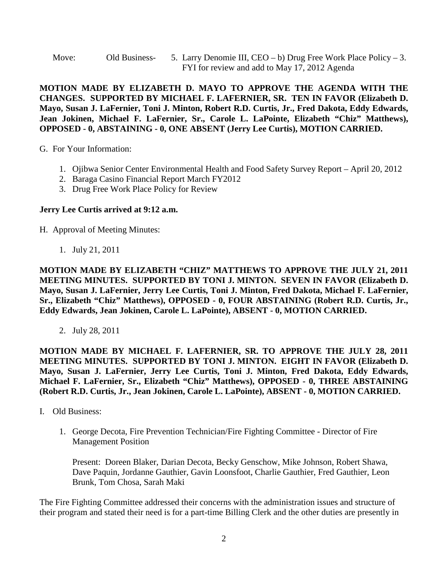Move: Old Business- 5. Larry Denomie III,  $CEO - b$ ) Drug Free Work Place Policy – 3. FYI for review and add to May 17, 2012 Agenda

**MOTION MADE BY ELIZABETH D. MAYO TO APPROVE THE AGENDA WITH THE CHANGES. SUPPORTED BY MICHAEL F. LAFERNIER, SR. TEN IN FAVOR (Elizabeth D. Mayo, Susan J. LaFernier, Toni J. Minton, Robert R.D. Curtis, Jr., Fred Dakota, Eddy Edwards, Jean Jokinen, Michael F. LaFernier, Sr., Carole L. LaPointe, Elizabeth "Chiz" Matthews), OPPOSED - 0, ABSTAINING - 0, ONE ABSENT (Jerry Lee Curtis), MOTION CARRIED.**

G. For Your Information:

- 1. Ojibwa Senior Center Environmental Health and Food Safety Survey Report April 20, 2012
- 2. Baraga Casino Financial Report March FY2012
- 3. Drug Free Work Place Policy for Review

## **Jerry Lee Curtis arrived at 9:12 a.m.**

H. Approval of Meeting Minutes:

1. July 21, 2011

**MOTION MADE BY ELIZABETH "CHIZ" MATTHEWS TO APPROVE THE JULY 21, 2011 MEETING MINUTES. SUPPORTED BY TONI J. MINTON. SEVEN IN FAVOR (Elizabeth D. Mayo, Susan J. LaFernier, Jerry Lee Curtis, Toni J. Minton, Fred Dakota, Michael F. LaFernier, Sr., Elizabeth "Chiz" Matthews), OPPOSED - 0, FOUR ABSTAINING (Robert R.D. Curtis, Jr., Eddy Edwards, Jean Jokinen, Carole L. LaPointe), ABSENT - 0, MOTION CARRIED.**

2. July 28, 2011

**MOTION MADE BY MICHAEL F. LAFERNIER, SR. TO APPROVE THE JULY 28, 2011 MEETING MINUTES. SUPPORTED BY TONI J. MINTON. EIGHT IN FAVOR (Elizabeth D. Mayo, Susan J. LaFernier, Jerry Lee Curtis, Toni J. Minton, Fred Dakota, Eddy Edwards, Michael F. LaFernier, Sr., Elizabeth "Chiz" Matthews), OPPOSED - 0, THREE ABSTAINING (Robert R.D. Curtis, Jr., Jean Jokinen, Carole L. LaPointe), ABSENT - 0, MOTION CARRIED.**

- I. Old Business:
	- 1. George Decota, Fire Prevention Technician/Fire Fighting Committee Director of Fire Management Position

Present: Doreen Blaker, Darian Decota, Becky Genschow, Mike Johnson, Robert Shawa, Dave Paquin, Jordanne Gauthier, Gavin Loonsfoot, Charlie Gauthier, Fred Gauthier, Leon Brunk, Tom Chosa, Sarah Maki

The Fire Fighting Committee addressed their concerns with the administration issues and structure of their program and stated their need is for a part-time Billing Clerk and the other duties are presently in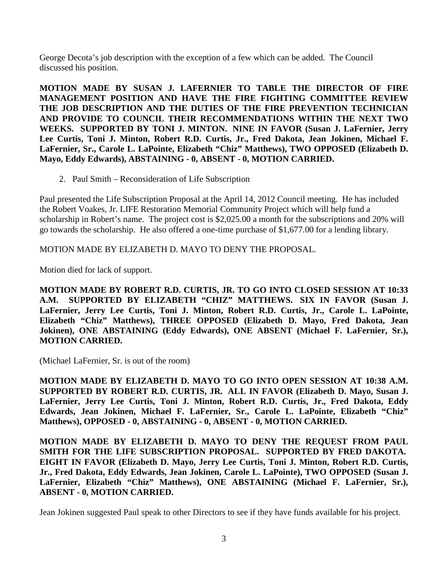George Decota's job description with the exception of a few which can be added. The Council discussed his position.

**MOTION MADE BY SUSAN J. LAFERNIER TO TABLE THE DIRECTOR OF FIRE MANAGEMENT POSITION AND HAVE THE FIRE FIGHTING COMMITTEE REVIEW THE JOB DESCRIPTION AND THE DUTIES OF THE FIRE PREVENTION TECHNICIAN AND PROVIDE TO COUNCIL THEIR RECOMMENDATIONS WITHIN THE NEXT TWO WEEKS. SUPPORTED BY TONI J. MINTON. NINE IN FAVOR (Susan J. LaFernier, Jerry Lee Curtis, Toni J. Minton, Robert R.D. Curtis, Jr., Fred Dakota, Jean Jokinen, Michael F. LaFernier, Sr., Carole L. LaPointe, Elizabeth "Chiz" Matthews), TWO OPPOSED (Elizabeth D. Mayo, Eddy Edwards), ABSTAINING - 0, ABSENT - 0, MOTION CARRIED.**

2. Paul Smith – Reconsideration of Life Subscription

Paul presented the Life Subscription Proposal at the April 14, 2012 Council meeting. He has included the Robert Voakes, Jr. LIFE Restoration Memorial Community Project which will help fund a scholarship in Robert's name. The project cost is \$2,025.00 a month for the subscriptions and 20% will go towards the scholarship. He also offered a one-time purchase of \$1,677.00 for a lending library.

MOTION MADE BY ELIZABETH D. MAYO TO DENY THE PROPOSAL.

Motion died for lack of support.

**MOTION MADE BY ROBERT R.D. CURTIS, JR. TO GO INTO CLOSED SESSION AT 10:33 A.M. SUPPORTED BY ELIZABETH "CHIZ" MATTHEWS. SIX IN FAVOR (Susan J. LaFernier, Jerry Lee Curtis, Toni J. Minton, Robert R.D. Curtis, Jr., Carole L. LaPointe, Elizabeth "Chiz" Matthews), THREE OPPOSED (Elizabeth D. Mayo, Fred Dakota, Jean Jokinen), ONE ABSTAINING (Eddy Edwards), ONE ABSENT (Michael F. LaFernier, Sr.), MOTION CARRIED.**

(Michael LaFernier, Sr. is out of the room)

**MOTION MADE BY ELIZABETH D. MAYO TO GO INTO OPEN SESSION AT 10:38 A.M. SUPPORTED BY ROBERT R.D. CURTIS, JR. ALL IN FAVOR (Elizabeth D. Mayo, Susan J. LaFernier, Jerry Lee Curtis, Toni J. Minton, Robert R.D. Curtis, Jr., Fred Dakota, Eddy Edwards, Jean Jokinen, Michael F. LaFernier, Sr., Carole L. LaPointe, Elizabeth "Chiz" Matthews), OPPOSED - 0, ABSTAINING - 0, ABSENT - 0, MOTION CARRIED.**

**MOTION MADE BY ELIZABETH D. MAYO TO DENY THE REQUEST FROM PAUL SMITH FOR THE LIFE SUBSCRIPTION PROPOSAL. SUPPORTED BY FRED DAKOTA. EIGHT IN FAVOR (Elizabeth D. Mayo, Jerry Lee Curtis, Toni J. Minton, Robert R.D. Curtis, Jr., Fred Dakota, Eddy Edwards, Jean Jokinen, Carole L. LaPointe), TWO OPPOSED (Susan J. LaFernier, Elizabeth "Chiz" Matthews), ONE ABSTAINING (Michael F. LaFernier, Sr.), ABSENT - 0, MOTION CARRIED.**

Jean Jokinen suggested Paul speak to other Directors to see if they have funds available for his project.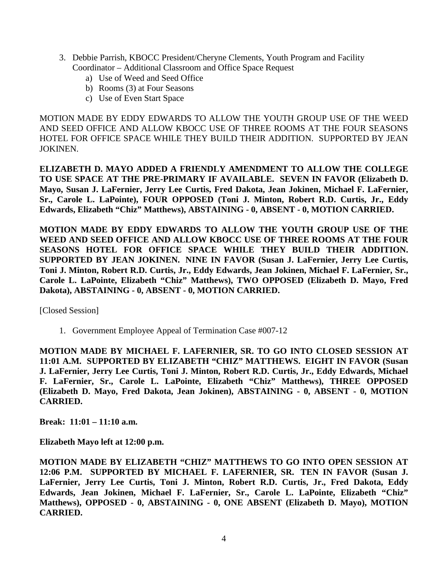- 3. Debbie Parrish, KBOCC President/Cheryne Clements, Youth Program and Facility Coordinator – Additional Classroom and Office Space Request
	- a) Use of Weed and Seed Office
	- b) Rooms (3) at Four Seasons
	- c) Use of Even Start Space

MOTION MADE BY EDDY EDWARDS TO ALLOW THE YOUTH GROUP USE OF THE WEED AND SEED OFFICE AND ALLOW KBOCC USE OF THREE ROOMS AT THE FOUR SEASONS HOTEL FOR OFFICE SPACE WHILE THEY BUILD THEIR ADDITION. SUPPORTED BY JEAN JOKINEN.

**ELIZABETH D. MAYO ADDED A FRIENDLY AMENDMENT TO ALLOW THE COLLEGE TO USE SPACE AT THE PRE-PRIMARY IF AVAILABLE. SEVEN IN FAVOR (Elizabeth D. Mayo, Susan J. LaFernier, Jerry Lee Curtis, Fred Dakota, Jean Jokinen, Michael F. LaFernier, Sr., Carole L. LaPointe), FOUR OPPOSED (Toni J. Minton, Robert R.D. Curtis, Jr., Eddy Edwards, Elizabeth "Chiz" Matthews), ABSTAINING - 0, ABSENT - 0, MOTION CARRIED.**

**MOTION MADE BY EDDY EDWARDS TO ALLOW THE YOUTH GROUP USE OF THE WEED AND SEED OFFICE AND ALLOW KBOCC USE OF THREE ROOMS AT THE FOUR SEASONS HOTEL FOR OFFICE SPACE WHILE THEY BUILD THEIR ADDITION. SUPPORTED BY JEAN JOKINEN. NINE IN FAVOR (Susan J. LaFernier, Jerry Lee Curtis, Toni J. Minton, Robert R.D. Curtis, Jr., Eddy Edwards, Jean Jokinen, Michael F. LaFernier, Sr., Carole L. LaPointe, Elizabeth "Chiz" Matthews), TWO OPPOSED (Elizabeth D. Mayo, Fred Dakota), ABSTAINING - 0, ABSENT - 0, MOTION CARRIED.**

[Closed Session]

1. Government Employee Appeal of Termination Case #007-12

**MOTION MADE BY MICHAEL F. LAFERNIER, SR. TO GO INTO CLOSED SESSION AT 11:01 A.M. SUPPORTED BY ELIZABETH "CHIZ" MATTHEWS. EIGHT IN FAVOR (Susan J. LaFernier, Jerry Lee Curtis, Toni J. Minton, Robert R.D. Curtis, Jr., Eddy Edwards, Michael F. LaFernier, Sr., Carole L. LaPointe, Elizabeth "Chiz" Matthews), THREE OPPOSED (Elizabeth D. Mayo, Fred Dakota, Jean Jokinen), ABSTAINING - 0, ABSENT - 0, MOTION CARRIED.**

**Break: 11:01 – 11:10 a.m.**

**Elizabeth Mayo left at 12:00 p.m.** 

**MOTION MADE BY ELIZABETH "CHIZ" MATTHEWS TO GO INTO OPEN SESSION AT 12:06 P.M. SUPPORTED BY MICHAEL F. LAFERNIER, SR. TEN IN FAVOR (Susan J. LaFernier, Jerry Lee Curtis, Toni J. Minton, Robert R.D. Curtis, Jr., Fred Dakota, Eddy Edwards, Jean Jokinen, Michael F. LaFernier, Sr., Carole L. LaPointe, Elizabeth "Chiz" Matthews), OPPOSED - 0, ABSTAINING - 0, ONE ABSENT (Elizabeth D. Mayo), MOTION CARRIED.**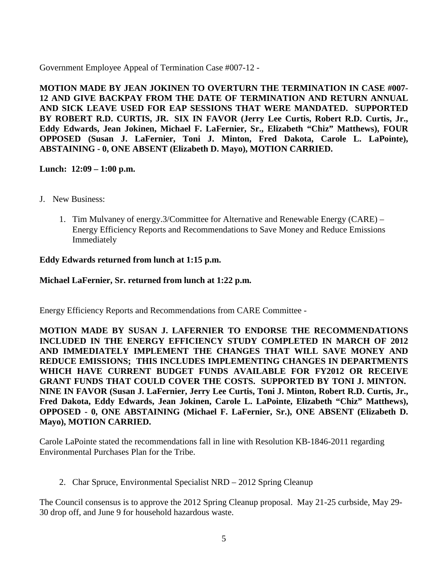Government Employee Appeal of Termination Case #007-12 -

**MOTION MADE BY JEAN JOKINEN TO OVERTURN THE TERMINATION IN CASE #007- 12 AND GIVE BACKPAY FROM THE DATE OF TERMINATION AND RETURN ANNUAL AND SICK LEAVE USED FOR EAP SESSIONS THAT WERE MANDATED. SUPPORTED BY ROBERT R.D. CURTIS, JR. SIX IN FAVOR (Jerry Lee Curtis, Robert R.D. Curtis, Jr., Eddy Edwards, Jean Jokinen, Michael F. LaFernier, Sr., Elizabeth "Chiz" Matthews), FOUR OPPOSED (Susan J. LaFernier, Toni J. Minton, Fred Dakota, Carole L. LaPointe), ABSTAINING - 0, ONE ABSENT (Elizabeth D. Mayo), MOTION CARRIED.**

## **Lunch: 12:09 – 1:00 p.m.**

- J. New Business:
	- 1. Tim Mulvaney of energy.3/Committee for Alternative and Renewable Energy (CARE) Energy Efficiency Reports and Recommendations to Save Money and Reduce Emissions Immediately

#### **Eddy Edwards returned from lunch at 1:15 p.m.**

#### **Michael LaFernier, Sr. returned from lunch at 1:22 p.m.**

Energy Efficiency Reports and Recommendations from CARE Committee -

**MOTION MADE BY SUSAN J. LAFERNIER TO ENDORSE THE RECOMMENDATIONS INCLUDED IN THE ENERGY EFFICIENCY STUDY COMPLETED IN MARCH OF 2012 AND IMMEDIATELY IMPLEMENT THE CHANGES THAT WILL SAVE MONEY AND REDUCE EMISSIONS; THIS INCLUDES IMPLEMENTING CHANGES IN DEPARTMENTS WHICH HAVE CURRENT BUDGET FUNDS AVAILABLE FOR FY2012 OR RECEIVE GRANT FUNDS THAT COULD COVER THE COSTS. SUPPORTED BY TONI J. MINTON. NINE IN FAVOR (Susan J. LaFernier, Jerry Lee Curtis, Toni J. Minton, Robert R.D. Curtis, Jr., Fred Dakota, Eddy Edwards, Jean Jokinen, Carole L. LaPointe, Elizabeth "Chiz" Matthews), OPPOSED - 0, ONE ABSTAINING (Michael F. LaFernier, Sr.), ONE ABSENT (Elizabeth D. Mayo), MOTION CARRIED.**

Carole LaPointe stated the recommendations fall in line with Resolution KB-1846-2011 regarding Environmental Purchases Plan for the Tribe.

2. Char Spruce, Environmental Specialist NRD – 2012 Spring Cleanup

The Council consensus is to approve the 2012 Spring Cleanup proposal. May 21-25 curbside, May 29- 30 drop off, and June 9 for household hazardous waste.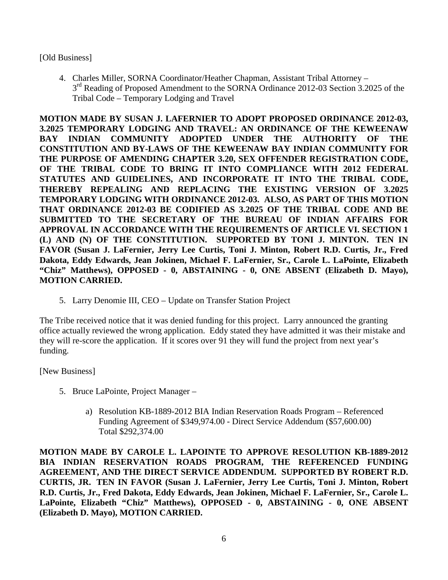#### [Old Business]

4. Charles Miller, SORNA Coordinator/Heather Chapman, Assistant Tribal Attorney – 3<sup>rd</sup> Reading of Proposed Amendment to the SORNA Ordinance 2012-03 Section 3.2025 of the Tribal Code – Temporary Lodging and Travel

**MOTION MADE BY SUSAN J. LAFERNIER TO ADOPT PROPOSED ORDINANCE 2012-03, 3.2025 TEMPORARY LODGING AND TRAVEL: AN ORDINANCE OF THE KEWEENAW BAY INDIAN COMMUNITY ADOPTED UNDER THE AUTHORITY OF THE CONSTITUTION AND BY-LAWS OF THE KEWEENAW BAY INDIAN COMMUNITY FOR THE PURPOSE OF AMENDING CHAPTER 3.20, SEX OFFENDER REGISTRATION CODE, OF THE TRIBAL CODE TO BRING IT INTO COMPLIANCE WITH 2012 FEDERAL STATUTES AND GUIDELINES, AND INCORPORATE IT INTO THE TRIBAL CODE, THEREBY REPEALING AND REPLACING THE EXISTING VERSION OF 3.2025 TEMPORARY LODGING WITH ORDINANCE 2012-03. ALSO, AS PART OF THIS MOTION THAT ORDINANCE 2012-03 BE CODIFIED AS 3.2025 OF THE TRIBAL CODE AND BE SUBMITTED TO THE SECRETARY OF THE BUREAU OF INDIAN AFFAIRS FOR APPROVAL IN ACCORDANCE WITH THE REQUIREMENTS OF ARTICLE VI. SECTION 1 (L) AND (N) OF THE CONSTITUTION. SUPPORTED BY TONI J. MINTON. TEN IN FAVOR (Susan J. LaFernier, Jerry Lee Curtis, Toni J. Minton, Robert R.D. Curtis, Jr., Fred Dakota, Eddy Edwards, Jean Jokinen, Michael F. LaFernier, Sr., Carole L. LaPointe, Elizabeth "Chiz" Matthews), OPPOSED - 0, ABSTAINING - 0, ONE ABSENT (Elizabeth D. Mayo), MOTION CARRIED.**

5. Larry Denomie III, CEO – Update on Transfer Station Project

The Tribe received notice that it was denied funding for this project. Larry announced the granting office actually reviewed the wrong application. Eddy stated they have admitted it was their mistake and they will re-score the application. If it scores over 91 they will fund the project from next year's funding.

[New Business]

- 5. Bruce LaPointe, Project Manager
	- a) Resolution KB-1889-2012 BIA Indian Reservation Roads Program Referenced Funding Agreement of \$349,974.00 - Direct Service Addendum (\$57,600.00) Total \$292,374.00

**MOTION MADE BY CAROLE L. LAPOINTE TO APPROVE RESOLUTION KB-1889-2012 BIA INDIAN RESERVATION ROADS PROGRAM, THE REFERENCED FUNDING AGREEMENT, AND THE DIRECT SERVICE ADDENDUM. SUPPORTED BY ROBERT R.D. CURTIS, JR. TEN IN FAVOR (Susan J. LaFernier, Jerry Lee Curtis, Toni J. Minton, Robert R.D. Curtis, Jr., Fred Dakota, Eddy Edwards, Jean Jokinen, Michael F. LaFernier, Sr., Carole L. LaPointe, Elizabeth "Chiz" Matthews), OPPOSED - 0, ABSTAINING - 0, ONE ABSENT (Elizabeth D. Mayo), MOTION CARRIED.**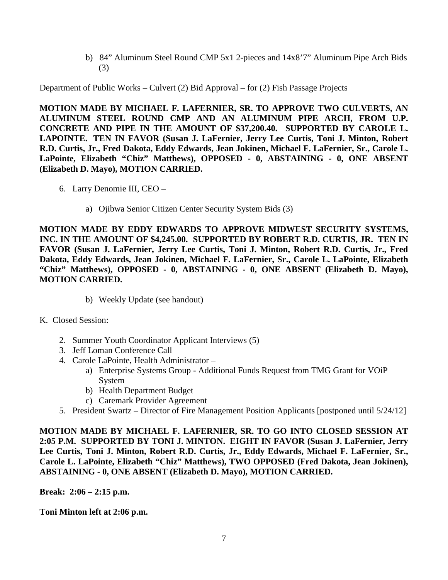b) 84" Aluminum Steel Round CMP 5x1 2-pieces and 14x8'7" Aluminum Pipe Arch Bids (3)

Department of Public Works – Culvert (2) Bid Approval – for (2) Fish Passage Projects

**MOTION MADE BY MICHAEL F. LAFERNIER, SR. TO APPROVE TWO CULVERTS, AN ALUMINUM STEEL ROUND CMP AND AN ALUMINUM PIPE ARCH, FROM U.P. CONCRETE AND PIPE IN THE AMOUNT OF \$37,200.40. SUPPORTED BY CAROLE L. LAPOINTE. TEN IN FAVOR (Susan J. LaFernier, Jerry Lee Curtis, Toni J. Minton, Robert R.D. Curtis, Jr., Fred Dakota, Eddy Edwards, Jean Jokinen, Michael F. LaFernier, Sr., Carole L. LaPointe, Elizabeth "Chiz" Matthews), OPPOSED - 0, ABSTAINING - 0, ONE ABSENT (Elizabeth D. Mayo), MOTION CARRIED.**

- 6. Larry Denomie III, CEO
	- a) Ojibwa Senior Citizen Center Security System Bids (3)

**MOTION MADE BY EDDY EDWARDS TO APPROVE MIDWEST SECURITY SYSTEMS, INC. IN THE AMOUNT OF \$4,245.00. SUPPORTED BY ROBERT R.D. CURTIS, JR. TEN IN FAVOR (Susan J. LaFernier, Jerry Lee Curtis, Toni J. Minton, Robert R.D. Curtis, Jr., Fred Dakota, Eddy Edwards, Jean Jokinen, Michael F. LaFernier, Sr., Carole L. LaPointe, Elizabeth "Chiz" Matthews), OPPOSED - 0, ABSTAINING - 0, ONE ABSENT (Elizabeth D. Mayo), MOTION CARRIED.**

- b) Weekly Update (see handout)
- K. Closed Session:
	- 2. Summer Youth Coordinator Applicant Interviews (5)
	- 3. Jeff Loman Conference Call
	- 4. Carole LaPointe, Health Administrator
		- a) Enterprise Systems Group Additional Funds Request from TMG Grant for VOiP System
		- b) Health Department Budget
		- c) Caremark Provider Agreement
	- 5. President Swartz Director of Fire Management Position Applicants [postponed until 5/24/12]

**MOTION MADE BY MICHAEL F. LAFERNIER, SR. TO GO INTO CLOSED SESSION AT 2:05 P.M. SUPPORTED BY TONI J. MINTON. EIGHT IN FAVOR (Susan J. LaFernier, Jerry Lee Curtis, Toni J. Minton, Robert R.D. Curtis, Jr., Eddy Edwards, Michael F. LaFernier, Sr., Carole L. LaPointe, Elizabeth "Chiz" Matthews), TWO OPPOSED (Fred Dakota, Jean Jokinen), ABSTAINING - 0, ONE ABSENT (Elizabeth D. Mayo), MOTION CARRIED.**

**Break: 2:06 – 2:15 p.m.**

**Toni Minton left at 2:06 p.m.**